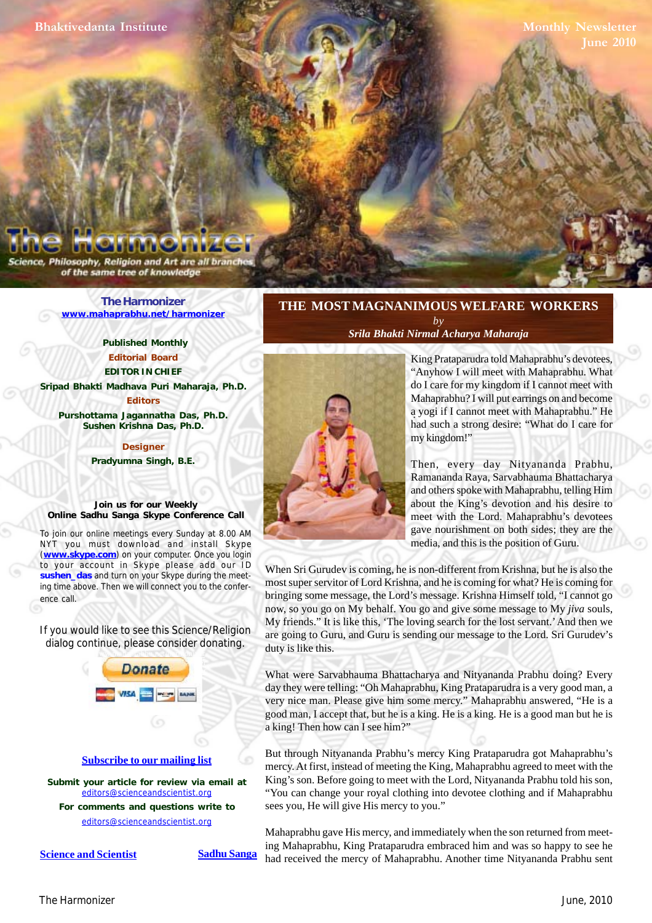Philosophy, Religion and Art are all bra of the same tree of knowledge

> **[The Harmonizer](http://www.mahaprabhu.net/harmonizer) www.mahaprabhu.net/harmonizer**

> > **Published Monthly Editorial Board EDITOR IN CHIEF**

**[Sripad Bhakti Madhava Puri Maharaja, Ph.D.](http://groups.google.co.in/group/Online_Sadhu_Sanga/web/affectionate-guardians)**

**Editors Purshottama Jagannatha Das, Ph.D. Sushen Krishna Das, Ph.D.**

> **Designer Pradyumna Singh, B.E.**

**Join us for our Weekly Online Sadhu Sanga Skype Conference Call**

To join our online meetings every Sunday at 8.00 AM NYT you must download and install Skype (**www.skype.com**) on your computer. Once you login to your account in Skype please add our ID **sushen\_das** and turn on your Skype during the meeting time above. Then we will connect you to the conference call.

If you would like to see this Science/Religion dialog continue, please consider donating.



**Submit your article for review via email at** editors@scienceandscientist.org

**For comments and questions write to** editors@scienceandscientist.org

**<u>Science and Scientist</u> Sadhu Sanga** 

# **THE MOST MAGNANIMOUS WELFARE WORKERS** *by Srila Bhakti Nirmal Acharya Maharaja*



 . a yogi if I cannot meet with Mahaprabhu." He King Prataparudra told Mahaprabhu's devotees, "Anyhow I will meet with Mahaprabhu. What do I care for my kingdom if I cannot meet with Mahaprabhu? I will put earrings on and become had such a strong desire: "What do I care for my kingdom!"

Then, every day Nityananda Prabhu, Ramananda Raya, Sarvabhauma Bhattacharya and others spoke with Mahaprabhu, telling Him about the King's devotion and his desire to meet with the Lord. Mahaprabhu's devotees gave nourishment on both sides; they are the media, and this is the position of Guru.

When Sri Gurudev is coming, he is non-different from Krishna, but he is also the most super servitor of Lord Krishna, and he is coming for what? He is coming for bringing some message, the Lord's message. Krishna Himself told, "I cannot go now, so you go on My behalf. You go and give some message to My *jiva* souls, My friends." It is like this, 'The loving search for the lost servant.' And then we are going to Guru, and Guru is sending our message to the Lord. Sri Gurudev's duty is like this.

What were Sarvabhauma Bhattacharya and Nityananda Prabhu doing? Every day they were telling: "Oh Mahaprabhu, King Prataparudra is a very good man, a very nice man. Please give him some mercy." Mahaprabhu answered, "He is a good man, I accept that, but he is a king. He is a king. He is a good man but he is a king! Then how can I see him?"

But through Nityananda Prabhu's mercy King Prataparudra got Mahaprabhu's mercy. At first, instead of meeting the King, Mahaprabhu agreed to meet with the King's son. Before going to meet with the Lord, Nityananda Prabhu told his son, "You can change your royal clothing into devotee clothing and if Mahaprabhu sees you, He will give His mercy to you."

Mahaprabhu gave His mercy, and immediately when the son returned from meeting Mahaprabhu, King Prataparudra embraced him and was so happy to see he had received the mercy of Mahaprabhu. Another time Nityananda Prabhu sent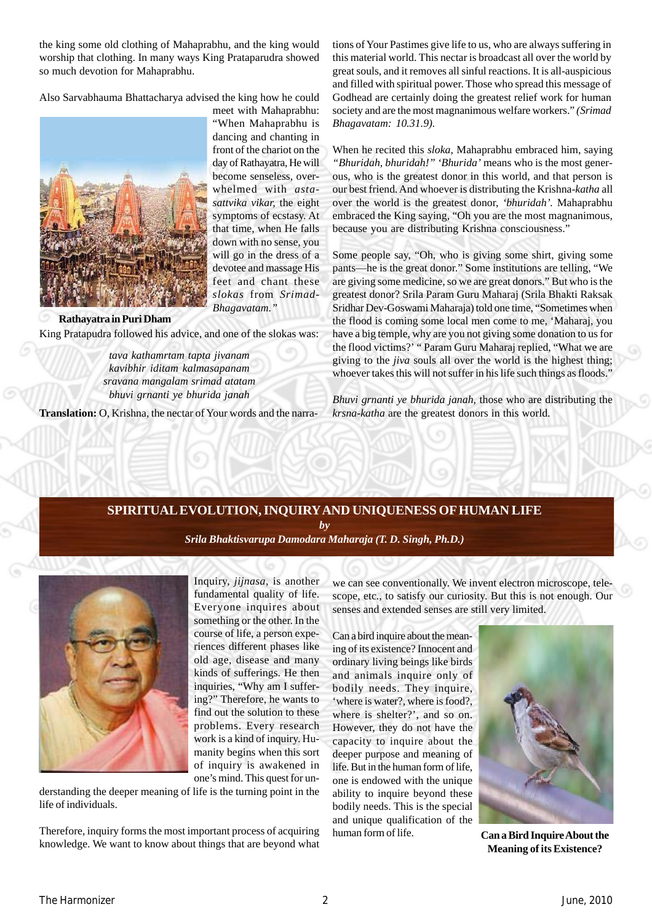the king some old clothing of Mahaprabhu, and the king would worship that clothing. In many ways King Prataparudra showed so much devotion for Mahaprabhu.

Also Sarvabhauma Bhattacharya advised the king how he could



meet with Mahaprabhu: "When Mahaprabhu is dancing and chanting in front of the chariot on the day of Rathayatra, He will become senseless, overwhelmed with *astasattvika vikar,* the eight symptoms of ecstasy. At that time, when He falls down with no sense, you will go in the dress of a devotee and massage His feet and chant these *slokas* from *Srimad-Bhagavatam."*

King Pratapudra followed his advice, and one of the slokas was: **Rathayatra in Puri Dham**

> *tava kathamrtam tapta jivanam kavibhir iditam kalmasapanam sravana mangalam srimad atatam bhuvi grnanti ye bhurida janah*

**Translation:** O, Krishna, the nectar of Your words and the narra-

tions of Your Pastimes give life to us, who are always suffering in this material world. This nectar is broadcast all over the world by great souls, and it removes all sinful reactions. It is all-auspicious and filled with spiritual power. Those who spread this message of Godhead are certainly doing the greatest relief work for human society and are the most magnanimous welfare workers." *(Srimad Bhagavatam: 10.31.9).*

When he recited this *sloka,* Mahaprabhu embraced him, saying *"Bhuridah, bhuridah!" 'Bhurida'* means who is the most generous, who is the greatest donor in this world, and that person is our best friend. And whoever is distributing the Krishna*-katha* all over the world is the greatest donor, *'bhuridah'.* Mahaprabhu embraced the King saying, "Oh you are the most magnanimous, because you are distributing Krishna consciousness."

Some people say, "Oh, who is giving some shirt, giving some pants—he is the great donor." Some institutions are telling, "We are giving some medicine, so we are great donors." But who is the greatest donor? Srila Param Guru Maharaj (Srila Bhakti Raksak Sridhar Dev-Goswami Maharaja) told one time, "Sometimes when the flood is coming some local men come to me, 'Maharaj, you have a big temple, why are you not giving some donation to us for the flood victims?' " Param Guru Maharaj replied, "What we are giving to the *jiva* souls all over the world is the highest thing; whoever takes this will not suffer in his life such things as floods."

*Bhuvi grnanti ye bhurida janah,* those who are distributing the *krsna-katha* are the greatest donors in this world.

## **SPIRITUAL EVOLUTION, INQUIRY AND UNIQUENESS OF HUMAN LIFE**

*by*

*[Srila Bhaktisvarupa Damodara Maharaja \(T. D. Singh, Ph.D.\)](http://groups.google.co.in/group/Online_Sadhu_Sanga/web/affectionate-guardians)*



Inquiry, *jijnasa*, is another fundamental quality of life. Everyone inquires about something or the other. In the course of life, a person experiences different phases like old age, disease and many kinds of sufferings. He then inquiries, "Why am I suffering?" Therefore, he wants to find out the solution to these problems. Every research work is a kind of inquiry. Humanity begins when this sort of inquiry is awakened in one's mind. This quest for un-

derstanding the deeper meaning of life is the turning point in the life of individuals.

Therefore, inquiry forms the most important process of acquiring knowledge. We want to know about things that are beyond what we can see conventionally. We invent electron microscope, telescope, etc., to satisfy our curiosity. But this is not enough. Our senses and extended senses are still very limited.

Can a bird inquire about the meaning of its existence? Innocent and ordinary living beings like birds and animals inquire only of bodily needs. They inquire, 'where is water?, where is food?, where is shelter?', and so on. However, they do not have the capacity to inquire about the deeper purpose and meaning of life. But in the human form of life, one is endowed with the unique ability to inquire beyond these bodily needs. This is the special and unique qualification of the human form of life.



**Can a Bird Inquire About the Meaning of its Existence?**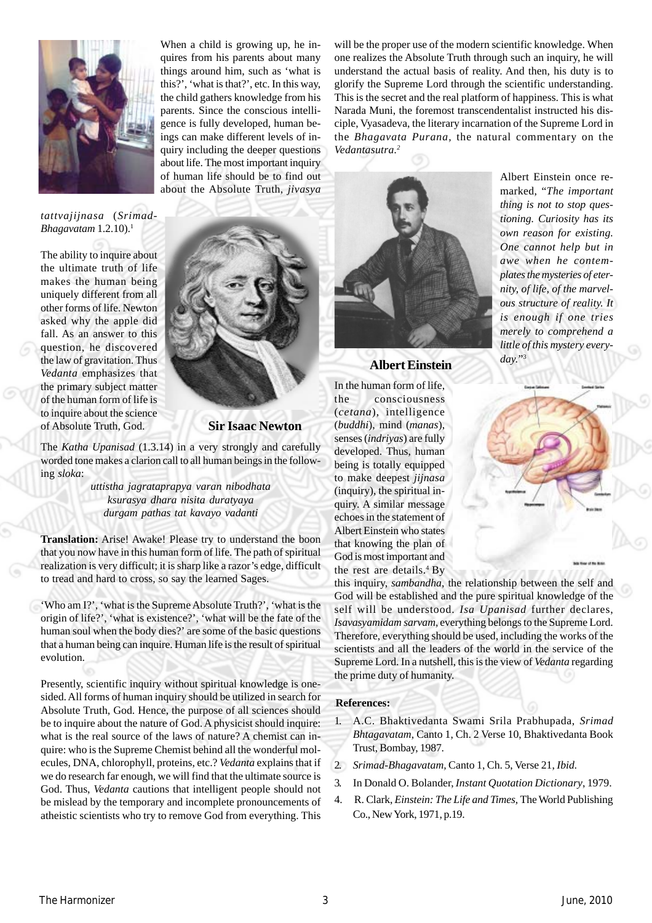

When a child is growing up, he inquires from his parents about many things around him, such as 'what is this?', 'what is that?', etc. In this way, the child gathers knowledge from his parents. Since the conscious intelligence is fully developed, human beings can make different levels of inquiry including the deeper questions about life. The most important inquiry of human life should be to find out about the Absolute Truth*, jivasya*

will be the proper use of the modern scientific knowledge. When one realizes the Absolute Truth through such an inquiry, he will understand the actual basis of reality. And then, his duty is to glorify the Supreme Lord through the scientific understanding. This is the secret and the real platform of happiness. This is what Narada Muni, the foremost transcendentalist instructed his disciple, Vyasadeva, the literary incarnation of the Supreme Lord in the *Bhagavata Purana,* the natural commentary on the *Vedantasutra.2*

*tattvajijnasa* (*Srimad-Bhagavatam* 1.2.10).<sup>1</sup>

The ability to inquire about the ultimate truth of life makes the human being uniquely different from all other forms of life. Newton asked why the apple did fall. As an answer to this question, he discovered the law of gravitation. Thus *Vedanta* emphasizes that the primary subject matter of the human form of life is to inquire about the science of Absolute Truth, God.



**Sir Isaac Newton**

The *Katha Upanisad* (1.3.14) in a very strongly and carefully worded tone makes a clarion call to all human beings in the following *sloka*:

> *uttistha jagrataprapya varan nibodhata ksurasya dhara nisita duratyaya durgam pathas tat kavayo vadanti*

**Translation:** Arise! Awake! Please try to understand the boon that you now have in this human form of life. The path of spiritual realization is very difficult; it is sharp like a razor's edge, difficult to tread and hard to cross, so say the learned Sages.

'Who am I?', 'what is the Supreme Absolute Truth?', 'what is the origin of life?', 'what is existence?', 'what will be the fate of the human soul when the body dies?' are some of the basic questions that a human being can inquire. Human life is the result of spiritual evolution.

Presently, scientific inquiry without spiritual knowledge is onesided. All forms of human inquiry should be utilized in search for Absolute Truth, God. Hence, the purpose of all sciences should be to inquire about the nature of God. A physicist should inquire: what is the real source of the laws of nature? A chemist can inquire: who is the Supreme Chemist behind all the wonderful molecules, DNA, chlorophyll, proteins, etc.? *Vedanta* explains that if we do research far enough, we will find that the ultimate source is God. Thus, *Vedanta* cautions that intelligent people should not be mislead by the temporary and incomplete pronouncements of atheistic scientists who try to remove God from everything. This



**Albert Einstein**

In the human form of life, the consciousness (*cetana*), intelligence (*buddhi*), mind (*manas*), senses (*indriyas*) are fully developed. Thus, human being is totally equipped to make deepest *jijnasa* (inquiry), the spiritual inquiry. A similar message echoes in the statement of Albert Einstein who states that knowing the plan of God is most important and the rest are details.<sup>4</sup> By

this inquiry, *sambandha*, the relationship between the self and God will be established and the pure spiritual knowledge of the self will be understood. *Isa Upanisad* further declares, *Isavasyamidam sarvam,* everything belongs to the Supreme Lord. Therefore, everything should be used, including the works of the scientists and all the leaders of the world in the service of the Supreme Lord. In a nutshell, this is the view of *Vedanta* regarding the prime duty of humanity.

#### .**References:**

- 1. A.C. Bhaktivedanta Swami Srila Prabhupada, *Srimad Bhtagavatam,* Canto 1, Ch. 2 Verse 10, Bhaktivedanta Book Trust, Bombay, 1987.
- 2. *Srimad-Bhagavatam,* Canto 1, Ch. 5, Verse 21, *Ibid.*
- 3. In Donald O. Bolander, *Instant Quotation Dictionary*, 1979.
- 4. R. Clark, *Einstein: The Life and Times,* The World Publishing Co., New York, 1971, p.19.

*tioning. Curiosity has its own reason for existing. One cannot help but in awe when he contemplates the mysteries of eternity, of life, of the marvelous structure of reality. It is enough if one tries merely to comprehend a little of this mystery every-*

Albert Einstein once remarked, "*The important thing is not to stop ques-*



*day.*"3